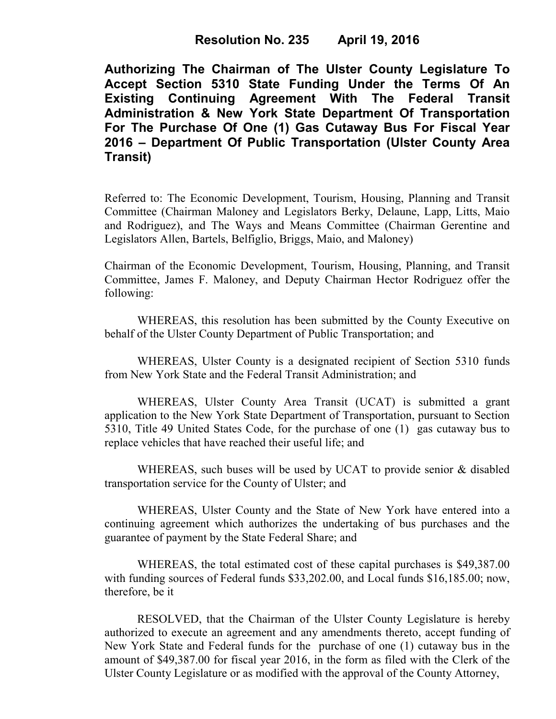**Resolution No. 235 April 19, 2016** 

**Authorizing The Chairman of The Ulster County Legislature To Accept Section 5310 State Funding Under the Terms Of An Existing Continuing Agreement With The Federal Transit Administration & New York State Department Of Transportation For The Purchase Of One (1) Gas Cutaway Bus For Fiscal Year 2016 – Department Of Public Transportation (Ulster County Area Transit)**

Referred to: The Economic Development, Tourism, Housing, Planning and Transit Committee (Chairman Maloney and Legislators Berky, Delaune, Lapp, Litts, Maio and Rodriguez), and The Ways and Means Committee (Chairman Gerentine and Legislators Allen, Bartels, Belfiglio, Briggs, Maio, and Maloney)

Chairman of the Economic Development, Tourism, Housing, Planning, and Transit Committee, James F. Maloney, and Deputy Chairman Hector Rodriguez offer the following:

WHEREAS, this resolution has been submitted by the County Executive on behalf of the Ulster County Department of Public Transportation; and

WHEREAS, Ulster County is a designated recipient of Section 5310 funds from New York State and the Federal Transit Administration; and

WHEREAS, Ulster County Area Transit (UCAT) is submitted a grant application to the New York State Department of Transportation, pursuant to Section 5310, Title 49 United States Code, for the purchase of one (1) gas cutaway bus to replace vehicles that have reached their useful life; and

WHEREAS, such buses will be used by UCAT to provide senior & disabled transportation service for the County of Ulster; and

WHEREAS, Ulster County and the State of New York have entered into a continuing agreement which authorizes the undertaking of bus purchases and the guarantee of payment by the State Federal Share; and

WHEREAS, the total estimated cost of these capital purchases is \$49,387.00 with funding sources of Federal funds \$33,202.00, and Local funds \$16,185.00; now, therefore, be it

RESOLVED, that the Chairman of the Ulster County Legislature is hereby authorized to execute an agreement and any amendments thereto, accept funding of New York State and Federal funds for the purchase of one (1) cutaway bus in the amount of \$49,387.00 for fiscal year 2016, in the form as filed with the Clerk of the Ulster County Legislature or as modified with the approval of the County Attorney,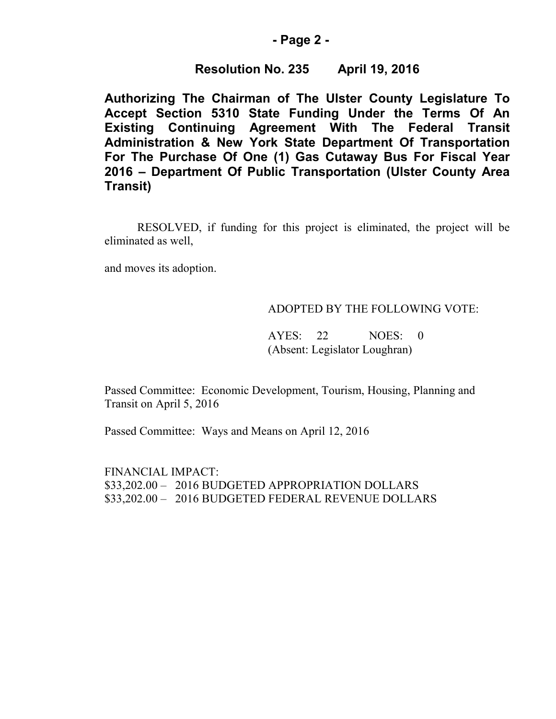### **- Page 2 -**

# **Resolution No. 235 April 19, 2016**

**Authorizing The Chairman of The Ulster County Legislature To Accept Section 5310 State Funding Under the Terms Of An Existing Continuing Agreement With The Federal Transit Administration & New York State Department Of Transportation For The Purchase Of One (1) Gas Cutaway Bus For Fiscal Year 2016 – Department Of Public Transportation (Ulster County Area Transit)**

RESOLVED, if funding for this project is eliminated, the project will be eliminated as well,

and moves its adoption.

### ADOPTED BY THE FOLLOWING VOTE:

AYES: 22 NOES: 0 (Absent: Legislator Loughran)

Passed Committee: Economic Development, Tourism, Housing, Planning and Transit on April 5, 2016

Passed Committee: Ways and Means on April 12, 2016

FINANCIAL IMPACT: \$33,202.00 – 2016 BUDGETED APPROPRIATION DOLLARS \$33,202.00 – 2016 BUDGETED FEDERAL REVENUE DOLLARS